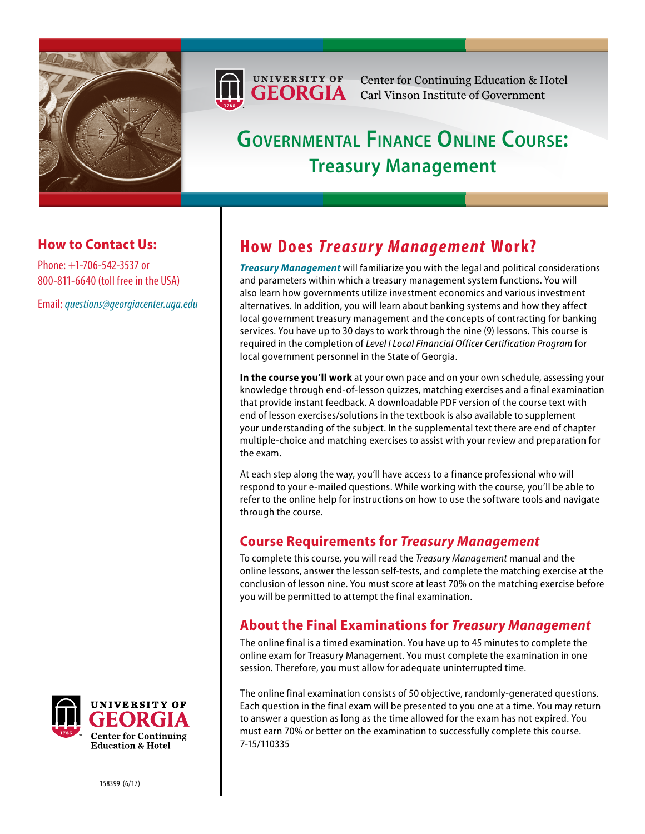



Center for Continuing Education & Hotel Carl Vinson Institute of Government

# **Governmental Finance Online Course: Treasury Management**

## **How to Contact Us:**

Phone: +1-706-542-3537 or 800-811-6640 (toll free in the USA)

Email: *[questions@georgiacenter.uga.edu](mailto:questions@georgiacenter.uga.edu?Subject=Treasury Management inquiry)*



*[Treasury Management](http://www.georgiacenter.uga.edu/ppd/courses/accounting-financial-management/treasury-management-financial-management-training)* will familiarize you with the legal and political considerations and parameters within which a treasury management system functions. You will also learn how governments utilize investment economics and various investment alternatives. In addition, you will learn about banking systems and how they affect local government treasury management and the concepts of contracting for banking services. You have up to 30 days to work through the nine (9) lessons. This course is required in the completion of *Level I Local Financial Officer Certification Program* for local government personnel in the State of Georgia.

**In the course you'll work** at your own pace and on your own schedule, assessing your knowledge through end-of-lesson quizzes, matching exercises and a final examination that provide instant feedback. A downloadable PDF version of the course text with end of lesson exercises/solutions in the textbook is also available to supplement your understanding of the subject. In the supplemental text there are end of chapter multiple-choice and matching exercises to assist with your review and preparation for the exam.

At each step along the way, you'll have access to a finance professional who will respond to your e-mailed questions. While working with the course, you'll be able to refer to the online help for instructions on how to use the software tools and navigate through the course.

#### **Course Requirements for** *Treasury Management*

To complete this course, you will read the *Treasury Management* manual and the online lessons, answer the lesson self-tests, and complete the matching exercise at the conclusion of lesson nine. You must score at least 70% on the matching exercise before you will be permitted to attempt the final examination.

# **About the Final Examinations for** *Treasury Management*

The online final is a timed examination. You have up to 45 minutes to complete the online exam for Treasury Management. You must complete the examination in one session. Therefore, you must allow for adequate uninterrupted time.

The online final examination consists of 50 objective, randomly-generated questions. Each question in the final exam will be presented to you one at a time. You may return to answer a question as long as the time allowed for the exam has not expired. You must earn 70% or better on the examination to successfully complete this course. 7-15/110335